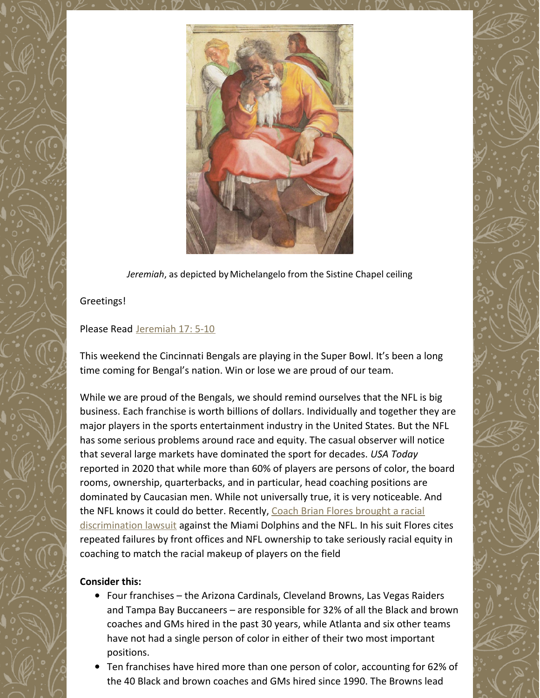

*Jeremiah*, as depicted by [Michelangelo](https://en.wikipedia.org/wiki/Michelangelo) from the Sistine [Chapel](https://en.wikipedia.org/wiki/Sistine_Chapel_ceiling) ceiling

### Greetings!

#### Please Read [Jeremiah](https://www.biblegateway.com/passage/?search=Jeremiah+17%3A+5-10&version=NRSV) 17: 5-10

This weekend the Cincinnati Bengals are playing in the Super Bowl. It's been a long time coming for Bengal's nation. Win or lose we are proud of our team.

While we are proud of the Bengals, we should remind ourselves that the NFL is big business. Each franchise is worth billions of dollars. Individually and together they are major players in the sports entertainment industry in the United States. But the NFL has some serious problems around race and equity. The casual observer will notice that several large markets have dominated the sport for decades. *USA Today* reported in 2020 that while more than 60% of players are persons of color, the board rooms, ownership, quarterbacks, and in particular, head coaching positions are dominated by Caucasian men. While not universally true, it is very noticeable. And the NFL knows it could do better. Recently, Coach Brian Flores brought a racial [discrimination](https://www.npr.org/2022/02/03/1077927110/brian-flores-nfl-lawsuit) lawsuit against the Miami Dolphins and the NFL. In his suit Flores cites repeated failures by front offices and NFL ownership to take seriously racial equity in coaching to match the racial makeup of players on the field

#### **Consider this:**

- Four franchises the Arizona Cardinals, Cleveland Browns, Las Vegas Raiders and Tampa Bay Buccaneers – are responsible for 32% of all the Black and brown coaches and GMs hired in the past 30 years, while Atlanta and six other teams have not had a single person of color in either of their two most important positions.
- Ten franchises have hired more than one person of color, accounting for 62% of the 40 Black and brown coaches and GMs hired since 1990. The Browns lead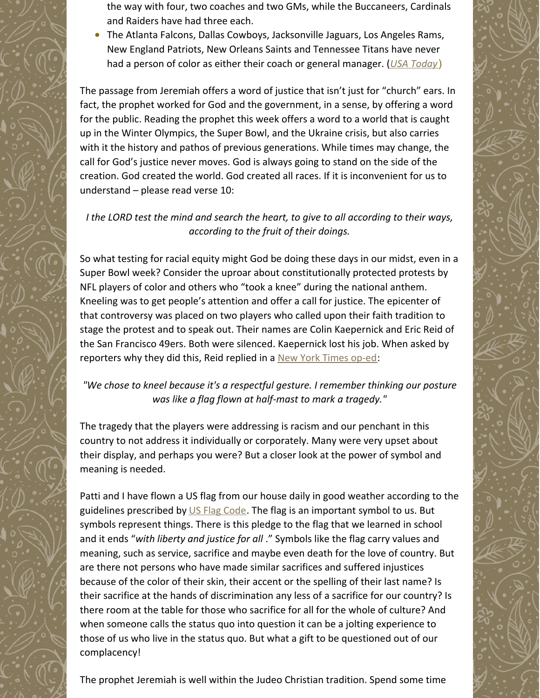the way with four, two coaches and two GMs, while the Buccaneers, Cardinals and Raiders have had three each.

The Atlanta Falcons, Dallas Cowboys, Jacksonville Jaguars, Los Angeles Rams, New England Patriots, New Orleans Saints and Tennessee Titans have never had a person of color as either their coach or general manager. (*USA [Today](https://www.usatoday.com/story/sports/nfl/2021/01/14/nfl-coaches-best-and-worst-nfl-teams-when-hiring-people-color/6653774002/)*)

The passage from Jeremiah offers a word of justice that isn't just for "church" ears. In fact, the prophet worked for God and the government, in a sense, by offering a word for the public. Reading the prophet this week offers a word to a world that is caught up in the Winter Olympics, the Super Bowl, and the Ukraine crisis, but also carries with it the history and pathos of previous generations. While times may change, the call for God's justice never moves. God is always going to stand on the side of the creation. God created the world. God created all races. If it is inconvenient for us to understand – please read verse 10:

## *I the LORD test the mind and search the heart, to give to all according to their ways, according to the fruit of their doings.*

So what testing for racial equity might God be doing these days in our midst, even in a Super Bowl week? Consider the uproar about constitutionally protected protests by NFL players of color and others who "took a knee" during the national anthem. Kneeling was to get people's attention and offer a call for justice. The epicenter of that controversy was placed on two players who called upon their faith tradition to stage the protest and to speak out. Their names are Colin Kaepernick and Eric Reid of the San Francisco 49ers. Both were silenced. Kaepernick lost his job. When asked by reporters why they did this, Reid replied in a New York [Times](https://www.nytimes.com/2017/09/25/opinion/colin-kaepernick-football-protests.html) op-ed:

# *"We chose to kneel because it's a respectful gesture. I remember thinking our posture was like a flag flown at half-mast to mark a tragedy."*

The tragedy that the players were addressing is racism and our penchant in this country to not address it individually or corporately. Many were very upset about their display, and perhaps you were? But a closer look at the power of symbol and meaning is needed.

Patti and I have flown a US flag from our house daily in good weather according to the guidelines prescribed by US Flag [Code](https://www.almanac.com/us-flag-etiquette-rules-and-guidelines#:~:text=The flag should never touch,or damaged in any way.). The flag is an important symbol to us. But symbols represent things. There is this pledge to the flag that we learned in school and it ends "*with liberty and justice for all* ." Symbols like the flag carry values and meaning, such as service, sacrifice and maybe even death for the love of country. But are there not persons who have made similar sacrifices and suffered injustices because of the color of their skin, their accent or the spelling of their last name? Is their sacrifice at the hands of discrimination any less of a sacrifice for our country? Is there room at the table for those who sacrifice for all for the whole of culture? And when someone calls the status quo into question it can be a jolting experience to those of us who live in the status quo. But what a gift to be questioned out of our complacency!

The prophet Jeremiah is well within the Judeo Christian tradition. Spend some time